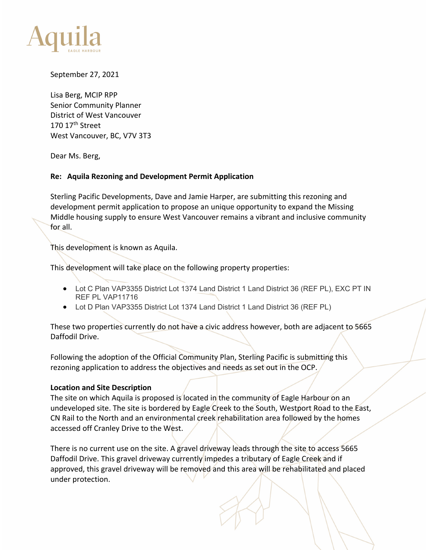

September 27, 2021

Lisa Berg, MCIP RPP Senior Community Planner District of West Vancouver 170 17th Street West Vancouver, BC, V7V 3T3

Dear Ms. Berg,

#### **Re: Aquila Rezoning and Development Permit Application**

Sterling Pacific Developments, Dave and Jamie Harper, are submitting this rezoning and development permit application to propose an unique opportunity to expand the Missing Middle housing supply to ensure West Vancouver remains a vibrant and inclusive community for all.

This development is known as Aquila.

This development will take place on the following property properties:

- Lot C Plan VAP3355 District Lot 1374 Land District 1 Land District 36 (REF PL), EXC PT IN REF PL VAP11716
- Lot D Plan VAP3355 District Lot 1374 Land District 1 Land District 36 (REF PL)

These two properties currently do not have a civic address however, both are adjacent to 5665 Daffodil Drive.

Following the adoption of the Official Community Plan, Sterling Pacific is submitting this rezoning application to address the objectives and needs as set out in the OCP.

# **Location and Site Description**

The site on which Aquila is proposed is located in the community of Eagle Harbour on an undeveloped site. The site is bordered by Eagle Creek to the South, Westport Road to the East, CN Rail to the North and an environmental creek rehabilitation area followed by the homes accessed off Cranley Drive to the West.

There is no current use on the site. A gravel driveway leads through the site to access 5665 Daffodil Drive. This gravel driveway currently impedes a tributary of Eagle Creek and if approved, this gravel driveway will be removed and this area will be rehabilitated and placed under protection.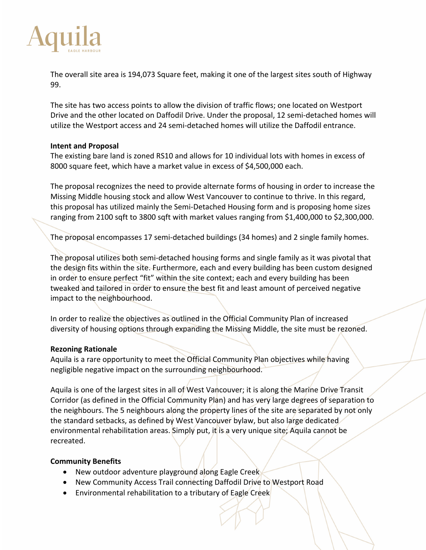

The overall site area is 194,073 Square feet, making it one of the largest sites south of Highway 99.

The site has two access points to allow the division of traffic flows; one located on Westport Drive and the other located on Daffodil Drive. Under the proposal, 12 semi-detached homes will utilize the Westport access and 24 semi-detached homes will utilize the Daffodil entrance.

#### **Intent and Proposal**

The existing bare land is zoned RS10 and allows for 10 individual lots with homes in excess of 8000 square feet, which have a market value in excess of \$4,500,000 each.

The proposal recognizes the need to provide alternate forms of housing in order to increase the Missing Middle housing stock and allow West Vancouver to continue to thrive. In this regard, this proposal has utilized mainly the Semi-Detached Housing form and is proposing home sizes ranging from 2100 sqft to 3800 sqft with market values ranging from \$1,400,000 to \$2,300,000.

The proposal encompasses 17 semi-detached buildings (34 homes) and 2 single family homes.

The proposal utilizes both semi-detached housing forms and single family as it was pivotal that the design fits within the site. Furthermore, each and every building has been custom designed in order to ensure perfect "fit" within the site context; each and every building has been tweaked and tailored in order to ensure the best fit and least amount of perceived negative impact to the neighbourhood.

In order to realize the objectives as outlined in the Official Community Plan of increased diversity of housing options through expanding the Missing Middle, the site must be rezoned.

# **Rezoning Rationale**

Aquila is a rare opportunity to meet the Official Community Plan objectives while having negligible negative impact on the surrounding neighbourhood.

Aquila is one of the largest sites in all of West Vancouver; it is along the Marine Drive Transit Corridor (as defined in the Official Community Plan) and has very large degrees of separation to the neighbours. The 5 neighbours along the property lines of the site are separated by not only the standard setbacks, as defined by West Vancouver bylaw, but also large dedicated environmental rehabilitation areas. Simply put, it is a very unique site; Aquila cannot be recreated.

# **Community Benefits**

- New outdoor adventure playground along Eagle Creek
- New Community Access Trail connecting Daffodil Drive to Westport Road
- Environmental rehabilitation to a tributary of Eagle Creek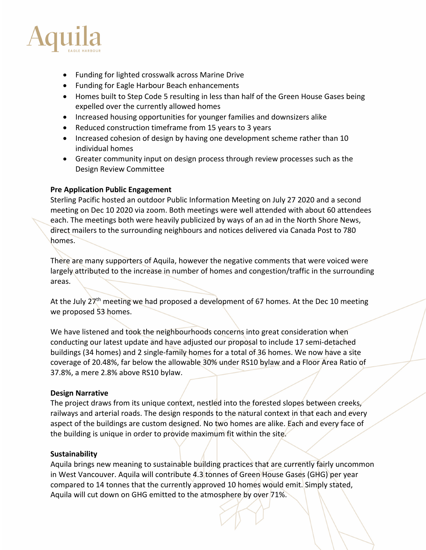

- Funding for lighted crosswalk across Marine Drive
- Funding for Eagle Harbour Beach enhancements
- Homes built to Step Code 5 resulting in less than half of the Green House Gases being expelled over the currently allowed homes
- Increased housing opportunities for younger families and downsizers alike
- Reduced construction timeframe from 15 years to 3 years
- Increased cohesion of design by having one development scheme rather than 10 individual homes
- Greater community input on design process through review processes such as the Design Review Committee

# **Pre Application Public Engagement**

Sterling Pacific hosted an outdoor Public Information Meeting on July 27 2020 and a second meeting on Dec 10 2020 via zoom. Both meetings were well attended with about 60 attendees each. The meetings both were heavily publicized by ways of an ad in the North Shore News, direct mailers to the surrounding neighbours and notices delivered via Canada Post to 780 homes.

There are many supporters of Aquila, however the negative comments that were voiced were largely attributed to the increase in number of homes and congestion/traffic in the surrounding areas.

At the July 27<sup>th</sup> meeting we had proposed a development of 67 homes. At the Dec 10 meeting we proposed 53 homes.

We have listened and took the neighbourhoods concerns into great consideration when conducting our latest update and have adjusted our proposal to include 17 semi-detached buildings (34 homes) and 2 single-family homes for a total of 36 homes. We now have a site coverage of 20.48%, far below the allowable 30% under RS10 bylaw and a Floor Area Ratio of 37.8%, a mere 2.8% above RS10 bylaw.

# **Design Narrative**

The project draws from its unique context, nestled into the forested slopes between creeks, railways and arterial roads. The design responds to the natural context in that each and every aspect of the buildings are custom designed. No two homes are alike. Each and every face of the building is unique in order to provide maximum fit within the site.

# **Sustainability**

Aquila brings new meaning to sustainable building practices that are currently fairly uncommon in West Vancouver. Aquila will contribute 4.3 tonnes of Green House Gases (GHG) per year compared to 14 tonnes that the currently approved 10 homes would emit. Simply stated, Aquila will cut down on GHG emitted to the atmosphere by over 71%.